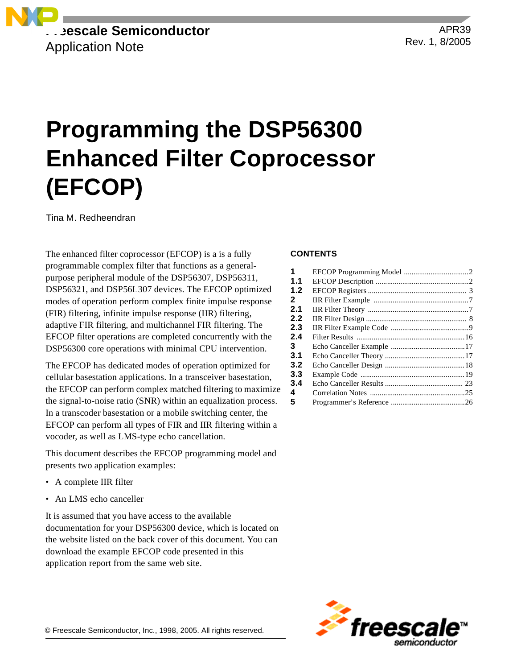

APR39 Rev. 1, 8/2005

# **Programming the DSP56300 Enhanced Filter Coprocessor (EFCOP)**

Tina M. Redheendran

The enhanced filter coprocessor (EFCOP) is a is a fully programmable complex filter that functions as a generalpurpose peripheral module of the DSP56307, DSP56311, DSP56321, and DSP56L307 devices. The EFCOP optimized modes of operation perform complex finite impulse response (FIR) filtering, infinite impulse response (IIR) filtering, adaptive FIR filtering, and multichannel FIR filtering. The EFCOP filter operations are completed concurrently with the DSP56300 core operations with minimal CPU intervention.

The EFCOP has dedicated modes of operation optimized for cellular basestation applications. In a transceiver basestation, the EFCOP can perform complex matched filtering to maximize the signal-to-noise ratio (SNR) within an equalization process. In a transcoder basestation or a mobile switching center, the EFCOP can perform all types of FIR and IIR filtering within a vocoder, as well as LMS-type echo cancellation.

This document describes the EFCOP programming model and presents two application examples:

- A complete IIR filter
- An LMS echo canceller

It is assumed that you have access to the available documentation for your DSP56300 device, which is located on the website listed on the back cover of this document. You can download the example EFCOP code presented in this application report from the same web site.

### **CONTENTS**

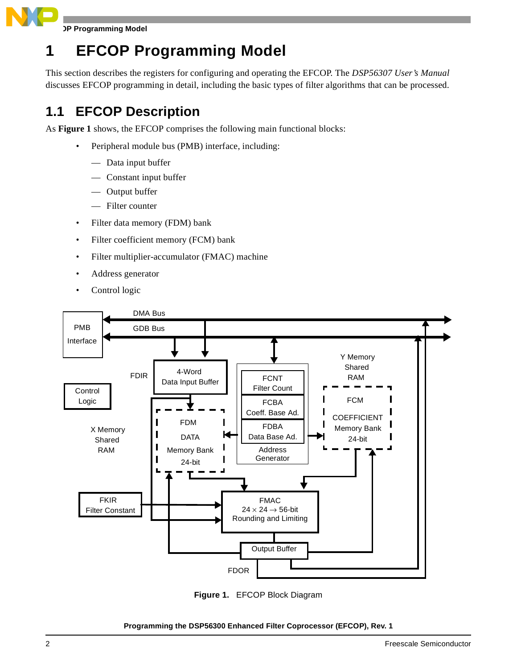

**JP Programming Model** 

# **1 EFCOP Programming Model**

This section describes the registers for configuring and operating the EFCOP. The *DSP56307 User's Manual* discusses EFCOP programming in detail, including the basic types of filter algorithms that can be processed.

# **1.1 EFCOP Description**

As **[Figure 1](#page-1-0)** shows, the EFCOP comprises the following main functional blocks:

- Peripheral module bus (PMB) interface, including:
	- Data input buffer
	- Constant input buffer
	- Output buffer
	- Filter counter
- Filter data memory (FDM) bank
- Filter coefficient memory (FCM) bank
- Filter multiplier-accumulator (FMAC) machine
- Address generator
- Control logic



<span id="page-1-0"></span>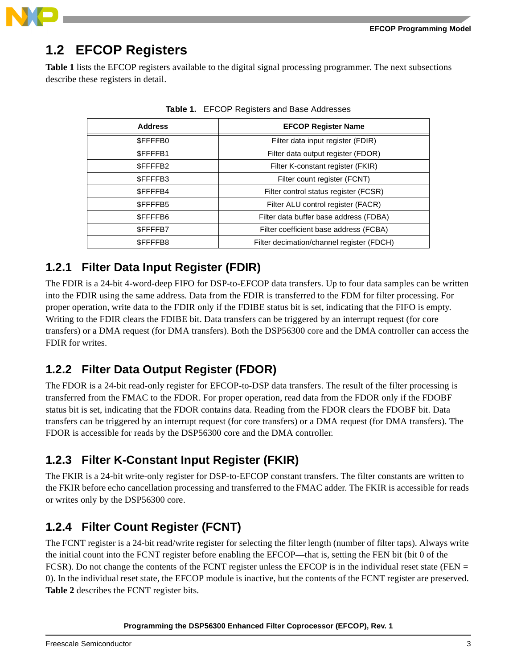

# **1.2 EFCOP Registers**

<span id="page-2-0"></span>**[Table 1](#page-2-0)** lists the EFCOP registers available to the digital signal processing programmer. The next subsections describe these registers in detail.

| <b>Address</b> | <b>EFCOP Register Name</b>                |
|----------------|-------------------------------------------|
| <b>SFFFFB0</b> | Filter data input register (FDIR)         |
| \$FFFFB1       | Filter data output register (FDOR)        |
| \$FFFFB2       | Filter K-constant register (FKIR)         |
| \$FFFFB3       | Filter count register (FCNT)              |
| \$FFFFB4       | Filter control status register (FCSR)     |
| \$FFFFB5       | Filter ALU control register (FACR)        |
| \$FFFFB6       | Filter data buffer base address (FDBA)    |
| <b>SFFFFB7</b> | Filter coefficient base address (FCBA)    |
| \$FFFFB8       | Filter decimation/channel register (FDCH) |
|                |                                           |

**Table 1.** EFCOP Registers and Base Addresses

### **1.2.1 Filter Data Input Register (FDIR)**

The FDIR is a 24-bit 4-word-deep FIFO for DSP-to-EFCOP data transfers. Up to four data samples can be written into the FDIR using the same address. Data from the FDIR is transferred to the FDM for filter processing. For proper operation, write data to the FDIR only if the FDIBE status bit is set, indicating that the FIFO is empty. Writing to the FDIR clears the FDIBE bit. Data transfers can be triggered by an interrupt request (for core transfers) or a DMA request (for DMA transfers). Both the DSP56300 core and the DMA controller can access the FDIR for writes.

### **1.2.2 Filter Data Output Register (FDOR)**

The FDOR is a 24-bit read-only register for EFCOP-to-DSP data transfers. The result of the filter processing is transferred from the FMAC to the FDOR. For proper operation, read data from the FDOR only if the FDOBF status bit is set, indicating that the FDOR contains data. Reading from the FDOR clears the FDOBF bit. Data transfers can be triggered by an interrupt request (for core transfers) or a DMA request (for DMA transfers). The FDOR is accessible for reads by the DSP56300 core and the DMA controller.

## **1.2.3 Filter K-Constant Input Register (FKIR)**

The FKIR is a 24-bit write-only register for DSP-to-EFCOP constant transfers. The filter constants are written to the FKIR before echo cancellation processing and transferred to the FMAC adder. The FKIR is accessible for reads or writes only by the DSP56300 core.

# **1.2.4 Filter Count Register (FCNT)**

The FCNT register is a 24-bit read/write register for selecting the filter length (number of filter taps). Always write the initial count into the FCNT register before enabling the EFCOP—that is, setting the FEN bit (bit 0 of the FCSR). Do not change the contents of the FCNT register unless the EFCOP is in the individual reset state (FEN = 0). In the individual reset state, the EFCOP module is inactive, but the contents of the FCNT register are preserved. **[Table 2](#page-3-0)** describes the FCNT register bits.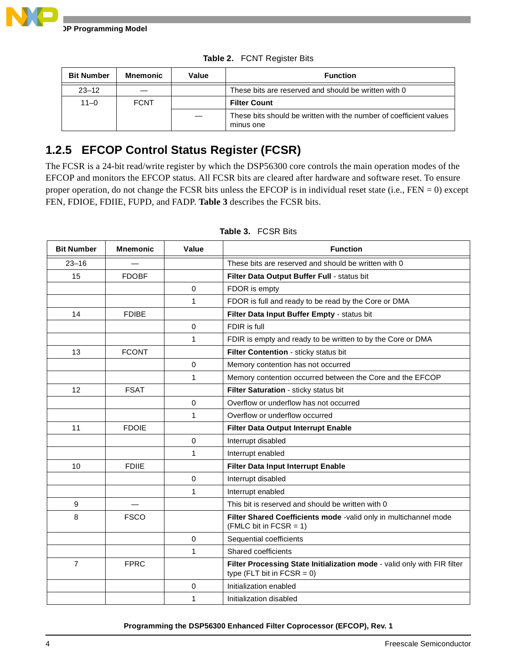<span id="page-3-0"></span>

| <b>Bit Number</b> | Mnemonic    | Value | <b>Function</b>                                                                 |
|-------------------|-------------|-------|---------------------------------------------------------------------------------|
| $23 - 12$         |             |       | These bits are reserved and should be written with 0                            |
| $11 - 0$          | <b>FCNT</b> |       | <b>Filter Count</b>                                                             |
|                   |             |       | These bits should be written with the number of coefficient values<br>minus one |

**Table 2.** FCNT Register Bits

# **1.2.5 EFCOP Control Status Register (FCSR)**

The FCSR is a 24-bit read/write register by which the DSP56300 core controls the main operation modes of the EFCOP and monitors the EFCOP status. All FCSR bits are cleared after hardware and software reset. To ensure proper operation, do not change the FCSR bits unless the EFCOP is in individual reset state (i.e., FEN = 0) except FEN, FDIOE, FDIIE, FUPD, and FADP. **[Table 3](#page-3-1)** describes the FCSR bits.

<span id="page-3-1"></span>

| <b>Bit Number</b> | <b>Mnemonic</b> | Value       | <b>Function</b>                                                                                           |
|-------------------|-----------------|-------------|-----------------------------------------------------------------------------------------------------------|
| $23 - 16$         |                 |             | These bits are reserved and should be written with 0                                                      |
| 15                | <b>FDOBF</b>    |             | Filter Data Output Buffer Full - status bit                                                               |
|                   |                 | $\mathbf 0$ | FDOR is empty                                                                                             |
|                   |                 | 1           | FDOR is full and ready to be read by the Core or DMA                                                      |
| 14                | <b>FDIBE</b>    |             | Filter Data Input Buffer Empty - status bit                                                               |
|                   |                 | $\Omega$    | FDIR is full                                                                                              |
|                   |                 | 1           | FDIR is empty and ready to be written to by the Core or DMA                                               |
| 13                | <b>FCONT</b>    |             | Filter Contention - sticky status bit                                                                     |
|                   |                 | $\Omega$    | Memory contention has not occurred                                                                        |
|                   |                 | 1           | Memory contention occurred between the Core and the EFCOP                                                 |
| 12                | <b>FSAT</b>     |             | Filter Saturation - sticky status bit                                                                     |
|                   |                 | $\Omega$    | Overflow or underflow has not occurred                                                                    |
|                   |                 | 1           | Overflow or underflow occurred                                                                            |
| 11                | <b>FDOIE</b>    |             | Filter Data Output Interrupt Enable                                                                       |
|                   |                 | $\Omega$    | Interrupt disabled                                                                                        |
|                   |                 | 1           | Interrupt enabled                                                                                         |
| 10                | <b>FDIIE</b>    |             | Filter Data Input Interrupt Enable                                                                        |
|                   |                 | $\mathbf 0$ | Interrupt disabled                                                                                        |
|                   |                 | 1           | Interrupt enabled                                                                                         |
| 9                 |                 |             | This bit is reserved and should be written with 0                                                         |
| 8                 | <b>FSCO</b>     |             | Filter Shared Coefficients mode -valid only in multichannel mode<br>$(FMLC)$ bit in $FCSR = 1$ )          |
|                   |                 | $\mathbf 0$ | Sequential coefficients                                                                                   |
|                   |                 | 1           | Shared coefficients                                                                                       |
| $\overline{7}$    | <b>FPRC</b>     |             | Filter Processing State Initialization mode - valid only with FIR filter<br>type (FLT bit in $FCSR = 0$ ) |
|                   |                 | 0           | Initialization enabled                                                                                    |
|                   |                 | 1           | Initialization disabled                                                                                   |

### **Table 3.** FCSR Bits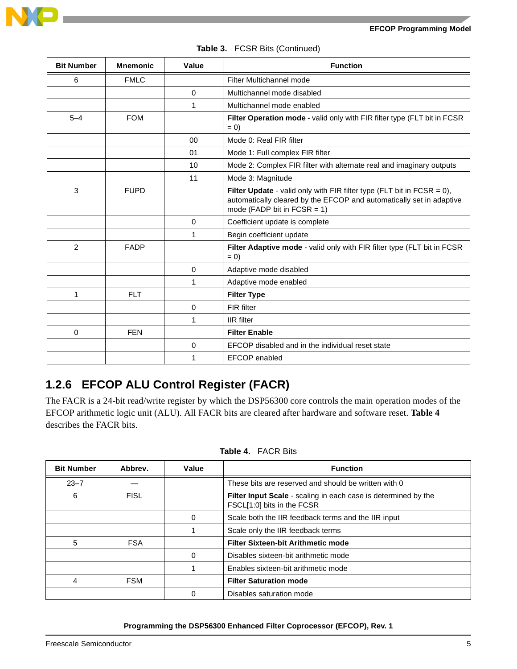

| <b>Bit Number</b> | <b>Mnemonic</b> | Value       | <b>Function</b>                                                                                                                                                                     |
|-------------------|-----------------|-------------|-------------------------------------------------------------------------------------------------------------------------------------------------------------------------------------|
| 6                 | <b>FMLC</b>     |             | Filter Multichannel mode                                                                                                                                                            |
|                   |                 | 0           | Multichannel mode disabled                                                                                                                                                          |
|                   |                 | 1           | Multichannel mode enabled                                                                                                                                                           |
| $5 - 4$           | <b>FOM</b>      |             | Filter Operation mode - valid only with FIR filter type (FLT bit in FCSR<br>$= 0$                                                                                                   |
|                   |                 | $00\,$      | Mode 0: Real FIR filter                                                                                                                                                             |
|                   |                 | 01          | Mode 1: Full complex FIR filter                                                                                                                                                     |
|                   |                 | 10          | Mode 2: Complex FIR filter with alternate real and imaginary outputs                                                                                                                |
|                   |                 | 11          | Mode 3: Magnitude                                                                                                                                                                   |
| 3                 | <b>FUPD</b>     |             | Filter Update - valid only with FIR filter type (FLT bit in FCSR = $0$ ),<br>automatically cleared by the EFCOP and automatically set in adaptive<br>mode (FADP bit in FCSR = $1$ ) |
|                   |                 | $\mathbf 0$ | Coefficient update is complete                                                                                                                                                      |
|                   |                 | 1           | Begin coefficient update                                                                                                                                                            |
| $\overline{2}$    | <b>FADP</b>     |             | Filter Adaptive mode - valid only with FIR filter type (FLT bit in FCSR<br>$= 0$                                                                                                    |
|                   |                 | $\Omega$    | Adaptive mode disabled                                                                                                                                                              |
|                   |                 | 1           | Adaptive mode enabled                                                                                                                                                               |
| 1                 | <b>FLT</b>      |             | <b>Filter Type</b>                                                                                                                                                                  |
|                   |                 | $\mathbf 0$ | FIR filter                                                                                                                                                                          |
|                   |                 | 1           | <b>IIR</b> filter                                                                                                                                                                   |
| 0                 | <b>FEN</b>      |             | <b>Filter Enable</b>                                                                                                                                                                |
|                   |                 | 0           | EFCOP disabled and in the individual reset state                                                                                                                                    |
|                   |                 | 1           | EFCOP enabled                                                                                                                                                                       |

### **Table 3.** FCSR Bits (Continued)

## **1.2.6 EFCOP ALU Control Register (FACR)**

The FACR is a 24-bit read/write register by which the DSP56300 core controls the main operation modes of the EFCOP arithmetic logic unit (ALU). All FACR bits are cleared after hardware and software reset. **[Table 4](#page-4-0)** describes the FACR bits.

<span id="page-4-0"></span>

| <b>Bit Number</b> | Abbrey.     | Value | <b>Function</b>                                                                              |
|-------------------|-------------|-------|----------------------------------------------------------------------------------------------|
| $23 - 7$          |             |       | These bits are reserved and should be written with 0                                         |
| 6                 | <b>FISL</b> |       | Filter Input Scale - scaling in each case is determined by the<br>FSCL[1:0] bits in the FCSR |
|                   |             | 0     | Scale both the IIR feedback terms and the IIR input                                          |
|                   |             |       | Scale only the IIR feedback terms                                                            |
| 5                 | <b>FSA</b>  |       | <b>Filter Sixteen-bit Arithmetic mode</b>                                                    |
|                   |             | 0     | Disables sixteen-bit arithmetic mode                                                         |
|                   |             |       | Enables sixteen-bit arithmetic mode                                                          |
| 4                 | <b>FSM</b>  |       | <b>Filter Saturation mode</b>                                                                |
|                   |             | 0     | Disables saturation mode                                                                     |

### **Table 4.** FACR Bits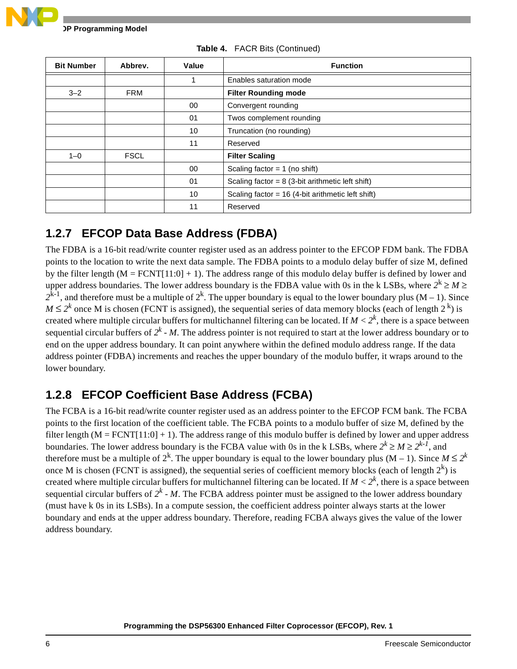

| <b>Bit Number</b> | Abbrev.     | Value | <b>Function</b>                                    |
|-------------------|-------------|-------|----------------------------------------------------|
|                   |             |       | Enables saturation mode                            |
| $3 - 2$           | <b>FRM</b>  |       | <b>Filter Rounding mode</b>                        |
|                   |             | 00    | Convergent rounding                                |
|                   |             | 01    | Twos complement rounding                           |
|                   |             | 10    | Truncation (no rounding)                           |
|                   |             | 11    | Reserved                                           |
| $1 - 0$           | <b>FSCL</b> |       | <b>Filter Scaling</b>                              |
|                   |             | 00    | Scaling factor = $1$ (no shift)                    |
|                   |             | 01    | Scaling factor = $8$ (3-bit arithmetic left shift) |
|                   |             | 10    | Scaling factor = 16 (4-bit arithmetic left shift)  |
|                   |             | 11    | Reserved                                           |

**Table 4.** FACR Bits (Continued)

### **1.2.7 EFCOP Data Base Address (FDBA)**

The FDBA is a 16-bit read/write counter register used as an address pointer to the EFCOP FDM bank. The FDBA points to the location to write the next data sample. The FDBA points to a modulo delay buffer of size M, defined by the filter length  $(M = FCNT[11:0] + 1)$ . The address range of this modulo delay buffer is defined by lower and upper address boundaries. The lower address boundary is the FDBA value with 0s in the k LSBs, where  $2^k \ge M \ge$  $2^{k-1}$ , and therefore must be a multiple of  $2^k$ . The upper boundary is equal to the lower boundary plus  $(M - 1)$ . Since  $M \leq 2^k$  once M is chosen (FCNT is assigned), the sequential series of data memory blocks (each of length  $2^k$ ) is created where multiple circular buffers for multichannel filtering can be located. If  $M < 2<sup>k</sup>$ , there is a space between sequential circular buffers of  $2^k$  - M. The address pointer is not required to start at the lower address boundary or to end on the upper address boundary. It can point anywhere within the defined modulo address range. If the data address pointer (FDBA) increments and reaches the upper boundary of the modulo buffer, it wraps around to the lower boundary.

## **1.2.8 EFCOP Coefficient Base Address (FCBA)**

The FCBA is a 16-bit read/write counter register used as an address pointer to the EFCOP FCM bank. The FCBA points to the first location of the coefficient table. The FCBA points to a modulo buffer of size M, defined by the filter length ( $M = FCNT[11:0] + 1$ ). The address range of this modulo buffer is defined by lower and upper address boundaries. The lower address boundary is the FCBA value with 0s in the k LSBs, where  $2^k \ge M \ge 2^{k-l}$ , and therefore must be a multiple of  $2^k$ . The upper boundary is equal to the lower boundary plus (M – 1). Since  $M \leq 2^k$ once M is chosen (FCNT is assigned), the sequential series of coefficient memory blocks (each of length  $2^k$ ) is created where multiple circular buffers for multichannel filtering can be located. If  $M < 2<sup>k</sup>$ , there is a space between sequential circular buffers of  $2^k$  - M. The FCBA address pointer must be assigned to the lower address boundary (must have k 0s in its LSBs). In a compute session, the coefficient address pointer always starts at the lower boundary and ends at the upper address boundary. Therefore, reading FCBA always gives the value of the lower address boundary.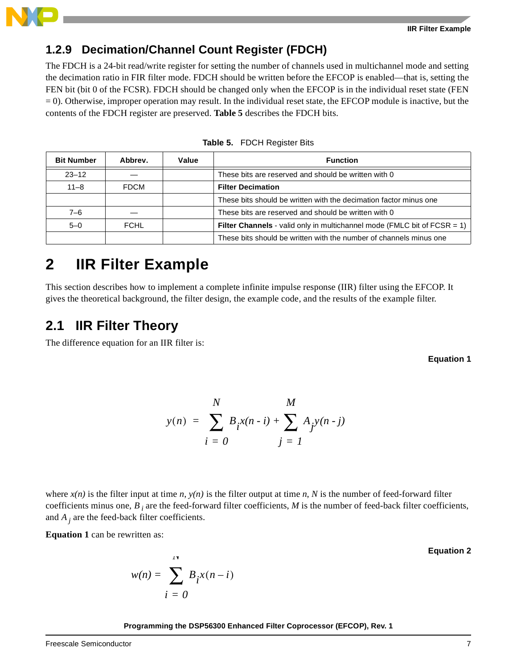

### **1.2.9 Decimation/Channel Count Register (FDCH)**

The FDCH is a 24-bit read/write register for setting the number of channels used in multichannel mode and setting the decimation ratio in FIR filter mode. FDCH should be written before the EFCOP is enabled—that is, setting the FEN bit (bit 0 of the FCSR). FDCH should be changed only when the EFCOP is in the individual reset state (FEN  $= 0$ ). Otherwise, improper operation may result. In the individual reset state, the EFCOP module is inactive, but the contents of the FDCH register are preserved. **[Table 5](#page-6-0)** describes the FDCH bits.

<span id="page-6-0"></span>

| <b>Bit Number</b> | Abbrev.     | Value | <b>Function</b>                                                                    |
|-------------------|-------------|-------|------------------------------------------------------------------------------------|
| $23 - 12$         |             |       | These bits are reserved and should be written with 0                               |
| $11 - 8$          | <b>FDCM</b> |       | <b>Filter Decimation</b>                                                           |
|                   |             |       | These bits should be written with the decimation factor minus one                  |
| 7–6               |             |       | These bits are reserved and should be written with 0                               |
| $5 - 0$           | <b>FCHL</b> |       | <b>Filter Channels</b> - valid only in multichannel mode (FMLC bit of FCSR $= 1$ ) |
|                   |             |       | These bits should be written with the number of channels minus one                 |

**Table 5.** FDCH Register Bits

# **2 IIR Filter Example**

This section describes how to implement a complete infinite impulse response (IIR) filter using the EFCOP. It gives the theoretical background, the filter design, the example code, and the results of the example filter.

### **2.1 IIR Filter Theory**

<span id="page-6-1"></span>The difference equation for an IIR filter is:

 **Equation 1**

$$
y(n) = \sum_{i=0}^{N} B_i x(n-i) + \sum_{j=1}^{M} A_j y(n-j)
$$

where  $x(n)$  is the filter input at time *n*,  $y(n)$  is the filter output at time *n*, *N* is the number of feed-forward filter coefficients minus one,  $B_i$  are the feed-forward filter coefficients,  $M$  is the number of feed-back filter coefficients, and *A j* are the feed-back filter coefficients.

**[Equation 1](#page-6-1)** can be rewritten as:

$$
w(n) = \sum_{i=0}^{N} B_i x(n-i)
$$

 **Equation 2**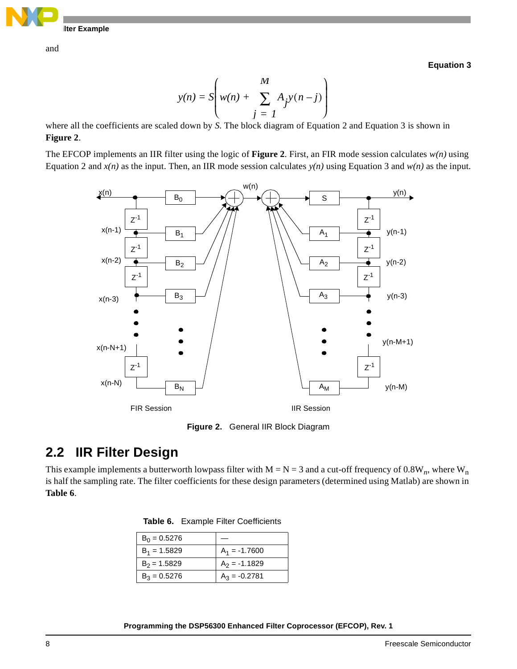

and

 **Equation 3**

$$
y(n) = S\left(w(n) + \sum_{j=1}^{M} A_j y(n-j)\right)
$$

where all the coefficients are scaled down by *S*. The block diagram of Equation 2 and Equation 3 is shown in **[Figure 2](#page-7-0)**.

The EFCOP implements an IIR filter using the logic of **[Figure 2](#page-7-0)**. First, an FIR mode session calculates *w(n)* using Equation 2 and  $x(n)$  as the input. Then, an IIR mode session calculates  $y(n)$  using Equation 3 and  $w(n)$  as the input.



**Figure 2.** General IIR Block Diagram

# <span id="page-7-2"></span><span id="page-7-0"></span>**2.2 IIR Filter Design**

<span id="page-7-1"></span>This example implements a butterworth lowpass filter with  $M = N = 3$  and a cut-off frequency of 0.8W<sub>n</sub>, where W<sub>n</sub> is half the sampling rate. The filter coefficients for these design parameters (determined using Matlab) are shown in **[Table 6](#page-7-1)**.

**Table 6.** Example Filter Coefficients

| $B_0 = 0.5276$ |                 |
|----------------|-----------------|
| $B_1 = 1.5829$ | $A_1 = -1.7600$ |
| $B_2$ = 1.5829 | $A_2 = -1.1829$ |
| $B_3 = 0.5276$ | $A_3 = -0.2781$ |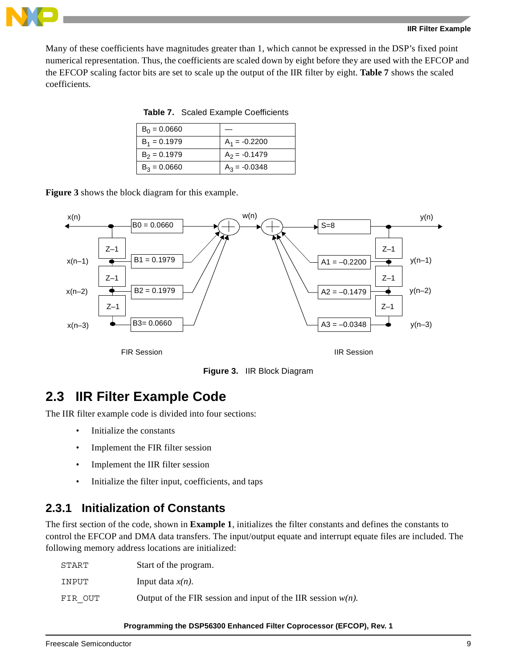

<span id="page-8-0"></span>Many of these coefficients have magnitudes greater than 1, which cannot be expressed in the DSP's fixed point numerical representation. Thus, the coefficients are scaled down by eight before they are used with the EFCOP and the EFCOP scaling factor bits are set to scale up the output of the IIR filter by eight. **[Table 7](#page-8-0)** shows the scaled coefficients.

**Table 7.** Scaled Example Coefficients

| $B_0 = 0.0660$ |                 |
|----------------|-----------------|
| $B_1 = 0.1979$ | $A_1 = -0.2200$ |
| $B_2 = 0.1979$ | $A_2 = -0.1479$ |
| $B_3 = 0.0660$ | $A_3 = -0.0348$ |

**[Figure 3](#page-8-1)** shows the block diagram for this example.





# <span id="page-8-1"></span>**2.3 IIR Filter Example Code**

The IIR filter example code is divided into four sections:

- Initialize the constants
- Implement the FIR filter session
- Implement the IIR filter session
- Initialize the filter input, coefficients, and taps

### <span id="page-8-2"></span>**2.3.1 Initialization of Constants**

The first section of the code, shown in **[Example 1](#page-10-0)**, initializes the filter constants and defines the constants to control the EFCOP and DMA data transfers. The input/output equate and interrupt equate files are included. The following memory address locations are initialized:

| START   | Start of the program.                                           |
|---------|-----------------------------------------------------------------|
| INPUT   | Input data $x(n)$ .                                             |
| FIR OUT | Output of the FIR session and input of the IIR session $w(n)$ . |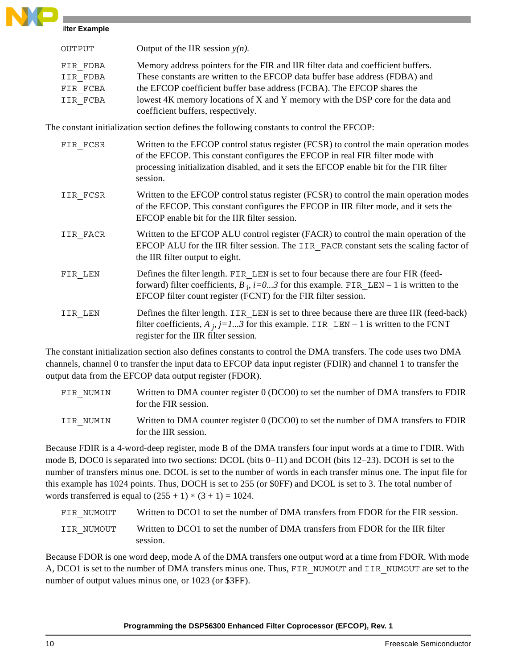**Ilter Example** 

| OUTPUT   | Output of the IIR session $y(n)$ .                                               |
|----------|----------------------------------------------------------------------------------|
| FIR FDBA | Memory address pointers for the FIR and IIR filter data and coefficient buffers. |
| IIR FDBA | These constants are written to the EFCOP data buffer base address (FDBA) and     |
| FIR FCBA | the EFCOP coefficient buffer base address (FCBA). The EFCOP shares the           |
| IIR FCBA | lowest 4K memory locations of X and Y memory with the DSP core for the data and  |
|          | coefficient buffers, respectively.                                               |

The constant initialization section defines the following constants to control the EFCOP:

| FIR FCSR | Written to the EFCOP control status register (FCSR) to control the main operation modes<br>of the EFCOP. This constant configures the EFCOP in real FIR filter mode with<br>processing initialization disabled, and it sets the EFCOP enable bit for the FIR filter<br>session. |
|----------|---------------------------------------------------------------------------------------------------------------------------------------------------------------------------------------------------------------------------------------------------------------------------------|
| IIR FCSR | Written to the EFCOP control status register (FCSR) to control the main operation modes<br>of the EFCOP. This constant configures the EFCOP in IIR filter mode, and it sets the<br>EFCOP enable bit for the IIR filter session.                                                 |
| IIR FACR | Written to the EFCOP ALU control register (FACR) to control the main operation of the<br>EFCOP ALU for the IIR filter session. The IIR FACR constant sets the scaling factor of<br>the IIR filter output to eight.                                                              |
| FIR LEN  | Defines the filter length. FIR LEN is set to four because there are four FIR (feed-<br>forward) filter coefficients, $B_i$ , $i=03$ for this example. FIR LEN – 1 is written to the<br>EFCOP filter count register (FCNT) for the FIR filter session.                           |
| IIR LEN  | Defines the filter length. IIR LEN is set to three because there are three IIR (feed-back)<br>filter coefficients, $A_i$ , $j=13$ for this example. IIR_LEN – 1 is written to the FCNT<br>register for the IIR filter session.                                                  |

The constant initialization section also defines constants to control the DMA transfers. The code uses two DMA channels, channel 0 to transfer the input data to EFCOP data input register (FDIR) and channel 1 to transfer the output data from the EFCOP data output register (FDOR).

| FIR NUMIN | Written to DMA counter register 0 (DCO0) to set the number of DMA transfers to FDIR<br>for the FIR session. |
|-----------|-------------------------------------------------------------------------------------------------------------|
| IIR NUMIN | Written to DMA counter register 0 (DCO0) to set the number of DMA transfers to FDIR<br>for the IIR session. |

Because FDIR is a 4-word-deep register, mode B of the DMA transfers four input words at a time to FDIR. With mode B, DOC0 is separated into two sections: DCOL (bits 0–11) and DCOH (bits 12–23). DCOH is set to the number of transfers minus one. DCOL is set to the number of words in each transfer minus one. The input file for this example has 1024 points. Thus, DOCH is set to 255 (or \$0FF) and DCOL is set to 3. The total number of words transferred is equal to  $(255 + 1) * (3 + 1) = 1024$ .

| Written to DCO1 to set the number of DMA transfers from FDOR for the FIR session.<br>FIR NUMOUT |  |
|-------------------------------------------------------------------------------------------------|--|
|-------------------------------------------------------------------------------------------------|--|

IIR NUMOUT Written to DCO1 to set the number of DMA transfers from FDOR for the IIR filter session.

Because FDOR is one word deep, mode A of the DMA transfers one output word at a time from FDOR. With mode A, DCO1 is set to the number of DMA transfers minus one. Thus, FIR\_NUMOUT and IIR\_NUMOUT are set to the number of output values minus one, or 1023 (or \$3FF).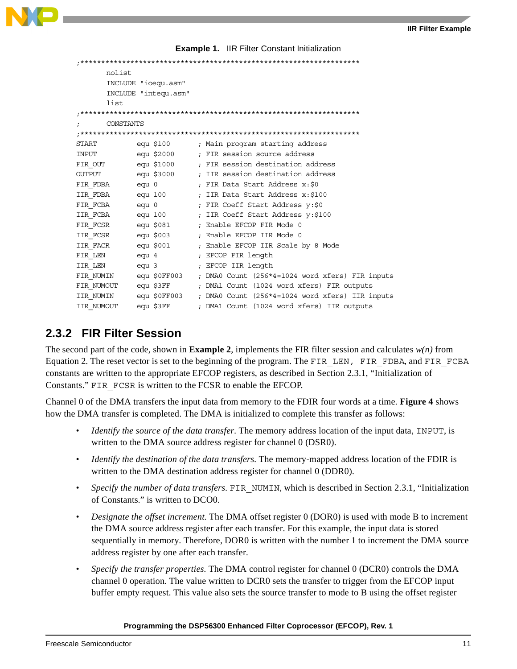**Example 1.** IIR Filter Constant Initialization

<span id="page-10-0"></span>

| nolist         |                      |                                                                        |
|----------------|----------------------|------------------------------------------------------------------------|
|                | INCLUDE "ioequ.asm"  |                                                                        |
|                | INCLUDE "integu.asm" |                                                                        |
| list           |                      |                                                                        |
|                |                      |                                                                        |
|                | CONSTANTS            |                                                                        |
|                |                      |                                                                        |
| START          |                      | equ \$100        ; Main program starting address                       |
| INPUT          |                      | equ \$2000 ; FIR session source address                                |
|                |                      | FIR OUT equ \$1000 ; FIR session destination address                   |
| OUTPUT         |                      | equ \$3000       ; IIR session destination address                     |
| FIR FDBA equ 0 |                      | ; FIR Data Start Address x:\$0                                         |
|                |                      | IIR FDBA equ 100 ; IIR Data Start Address x:\$100                      |
| FIR FCBA equ 0 |                      | ; FIR Coeff Start Address y:\$0                                        |
|                | IIR FCBA equ 100     | ; IIR Coeff Start Address y:\$100                                      |
|                |                      | FIR FCSR equ \$081 ; Enable EFCOP FIR Mode 0                           |
|                |                      | IIR FCSR equ \$003 ; Enable EFCOP IIR Mode 0                           |
|                |                      | IIR FACR equ \$001 ; Enable EFCOP IIR Scale by 8 Mode                  |
| FIR LEN        |                      | equ 4 (a) ; EFCOP FIR length                                           |
|                |                      | IIR LEN equ 3 (b) FECOP IIR length                                     |
|                |                      | FIR NUMIN equ \$0FF003 ; DMA0 Count (256*4=1024 word xfers) FIR inputs |
|                |                      | FIR NUMOUT equ \$3FF ; DMA1 Count (1024 word xfers) FIR outputs        |
| IIR NUMIN      |                      | equ \$0FF003 $\qquad$ ; DMA0 Count (256*4=1024 word xfers) IIR inputs  |
| IIR NUMOUT     | equ \$3FF            | ; DMA1 Count (1024 word xfers) IIR outputs                             |

### **2.3.2 FIR Filter Session**

The second part of the code, shown in **[Example 2](#page-12-0)**, implements the FIR filter session and calculates  $w(n)$  from Equation 2. The reset vector is set to the beginning of the program. The FIR\_LEN, FIR\_FDBA, and FIR\_FCBA constants are written to the appropriate EFCOP registers, as described in Section [2.3.1, "Initialization of](#page-8-2)  [Constants."](#page-8-2) FIR\_FCSR is written to the FCSR to enable the EFCOP.

Channel 0 of the DMA transfers the input data from memory to the FDIR four words at a time. **[Figure 4](#page-11-0)** shows how the DMA transfer is completed. The DMA is initialized to complete this transfer as follows:

- *Identify the source of the data transfer*. The memory address location of the input data, INPUT, is written to the DMA source address register for channel 0 (DSR0).
- *Identify the destination of the data transfers*. The memory-mapped address location of the FDIR is written to the DMA destination address register for channel 0 (DDR0).
- *Specify the number of data transfers*. FIR NUMIN, which is described in Section 2.3.1, "Initialization" [of Constants." i](#page-8-2)s written to DCO0.
- *Designate the offset increment.* The DMA offset register 0 (DOR0) is used with mode B to increment the DMA source address register after each transfer. For this example, the input data is stored sequentially in memory. Therefore, DOR0 is written with the number 1 to increment the DMA source address register by one after each transfer.
- *Specify the transfer properties.* The DMA control register for channel 0 (DCR0) controls the DMA channel 0 operation. The value written to DCR0 sets the transfer to trigger from the EFCOP input buffer empty request. This value also sets the source transfer to mode to B using the offset register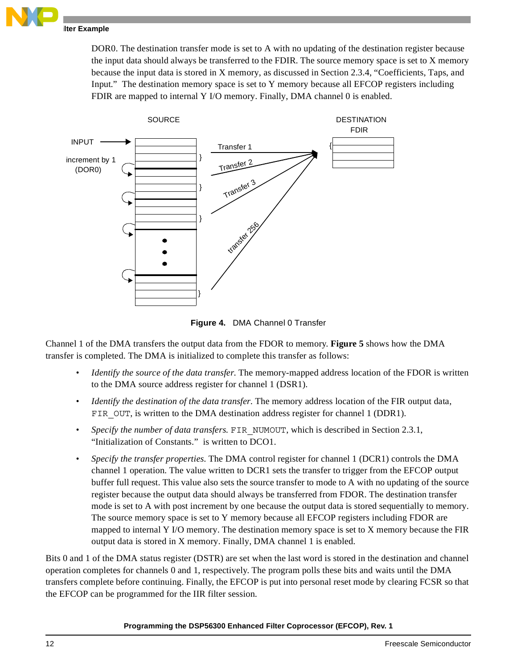

DOR0. The destination transfer mode is set to A with no updating of the destination register because the input data should always be transferred to the FDIR. The source memory space is set to X memory because the input data is stored in X memory, as discussed in Section [2.3.4, "Coefficients, Taps, and](#page-14-0)  [Input."](#page-14-0) The destination memory space is set to Y memory because all EFCOP registers including FDIR are mapped to internal Y I/O memory. Finally, DMA channel 0 is enabled.



**Figure 4.** DMA Channel 0 Transfer

<span id="page-11-0"></span>Channel 1 of the DMA transfers the output data from the FDOR to memory. **[Figure 5](#page-12-1)** shows how the DMA transfer is completed. The DMA is initialized to complete this transfer as follows:

- *Identify the source of the data transfer.* The memory-mapped address location of the FDOR is written to the DMA source address register for channel 1 (DSR1).
- *Identify the destination of the data transfer.* The memory address location of the FIR output data, FIR OUT, is written to the DMA destination address register for channel 1 (DDR1).
- *Specify the number of data transfers.* FIR NUMOUT, which is described in [Section](#page-8-2) 2.3.1, ["Initialization of Constants."](#page-8-2) is written to DCO1.
- *Specify the transfer properties*. The DMA control register for channel 1 (DCR1) controls the DMA channel 1 operation. The value written to DCR1 sets the transfer to trigger from the EFCOP output buffer full request. This value also sets the source transfer to mode to A with no updating of the source register because the output data should always be transferred from FDOR. The destination transfer mode is set to A with post increment by one because the output data is stored sequentially to memory. The source memory space is set to Y memory because all EFCOP registers including FDOR are mapped to internal Y I/O memory. The destination memory space is set to X memory because the FIR output data is stored in X memory. Finally, DMA channel 1 is enabled.

Bits 0 and 1 of the DMA status register (DSTR) are set when the last word is stored in the destination and channel operation completes for channels 0 and 1, respectively. The program polls these bits and waits until the DMA transfers complete before continuing. Finally, the EFCOP is put into personal reset mode by clearing FCSR so that the EFCOP can be programmed for the IIR filter session.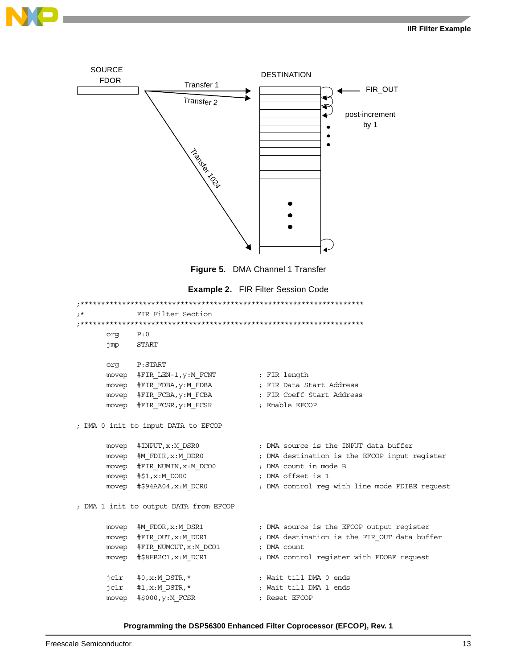



**Figure 5.** DMA Channel 1 Transfer

|  | <b>Example 2. FIR Filter Session Code</b> |  |
|--|-------------------------------------------|--|
|--|-------------------------------------------|--|

```
;********************************************************************
            FIR Filter Section
               ;********************************************************************
      org P:0
      jmp START
      org P:START
      movep #FIR_LEN-1, y:M_FCNT ; FIR length
      movep #FIR_FDBA, y:M_FDBA ; FIR Data Start Address
      movep #FIR_FCBA, y:M_FCBA ; FIR Coeff Start Address
      movep #FIR_FCSR, y:M_FCSR ; Enable EFCOP
; DMA 0 init to input DATA to EFCOP
      movep #INPUT, x: M DSR0 ; DMA source is the INPUT data buffer
      movep #M_FDIR,x:M_DDR0 ; DMA destination is the EFCOP input register
      movep #FIR_NUMIN,x:M_DCO0 ; DMA count in mode B
      movep #$1,x:M DOR0 ; DMA offset is 1
      movep #$94AA04,x:M_DCR0 ; DMA control req with line mode FDIBE request
; DMA 1 init to output DATA from EFCOP
      movep #M_FDOR,x:M_DSR1 ; DMA source is the EFCOP output register
      movep #FIR_OUT,x:M_DDR1 ; DMA destination is the FIR_OUT data buffer
      movep #FIR_NUMOUT, x:M_DCO1 ; DMA count
      movep #$8EB2C1, x: MDCR1 ; DMA control register with FDOBF request
      jclr #0, x: M DSTR, * ; Wait till DMA 0 ends
      jclr #1,x:M_DSTR,* ; Wait till DMA 1 ends
      movep #$000, y:M_FCSR ; Reset EFCOP
```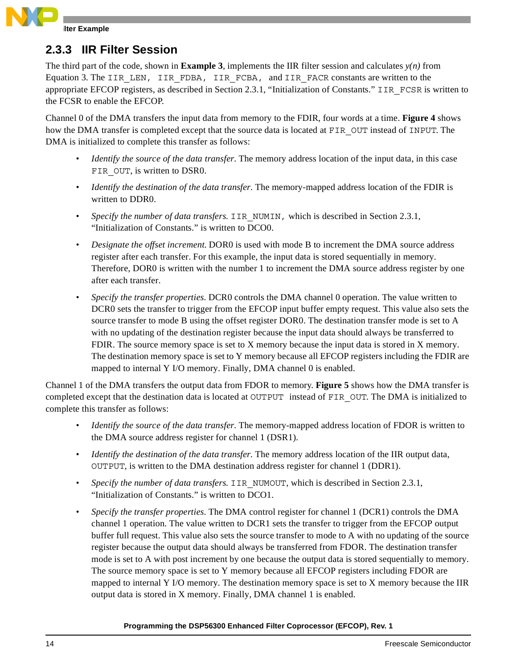

### **2.3.3 IIR Filter Session**

The third part of the code, shown in **[Example 3](#page-14-1)**, implements the IIR filter session and calculates  $y(n)$  from Equation 3. The IIR\_LEN, IIR\_FDBA, IIR\_FCBA, and IIR\_FACR constants are written to the appropriate EFCOP registers, as described in Section [2.3.1, "Initialization of Constants."](#page-8-2) IIR\_FCSR is written to the FCSR to enable the EFCOP.

Channel 0 of the DMA transfers the input data from memory to the FDIR, four words at a time. **[Figure 4](#page-11-0)** shows how the DMA transfer is completed except that the source data is located at FIR\_OUT instead of INPUT. The DMA is initialized to complete this transfer as follows:

- *Identify the source of the data transfer*. The memory address location of the input data, in this case FIR OUT, is written to DSR0.
- *Identify the destination of the data transfer*. The memory-mapped address location of the FDIR is written to DDR0.
- *Specify the number of data transfers.* IIR NUMIN, which is described in [Section](#page-8-2) 2.3.1, ["Initialization of Constants." i](#page-8-2)s written to DCO0.
- *Designate the offset increment*. DOR0 is used with mode B to increment the DMA source address register after each transfer. For this example, the input data is stored sequentially in memory. Therefore, DOR0 is written with the number 1 to increment the DMA source address register by one after each transfer.
- *Specify the transfer properties*. DCR0 controls the DMA channel 0 operation. The value written to DCR0 sets the transfer to trigger from the EFCOP input buffer empty request. This value also sets the source transfer to mode B using the offset register DOR0. The destination transfer mode is set to A with no updating of the destination register because the input data should always be transferred to FDIR. The source memory space is set to X memory because the input data is stored in X memory. The destination memory space is set to Y memory because all EFCOP registers including the FDIR are mapped to internal Y I/O memory. Finally, DMA channel 0 is enabled.

Channel 1 of the DMA transfers the output data from FDOR to memory. **[Figure 5](#page-12-1)** shows how the DMA transfer is completed except that the destination data is located at OUTPUT instead of FIR OUT. The DMA is initialized to complete this transfer as follows:

- *Identify the source of the data transfer.* The memory-mapped address location of FDOR is written to the DMA source address register for channel 1 (DSR1).
- *Identify the destination of the data transfer.* The memory address location of the IIR output data, OUTPUT, is written to the DMA destination address register for channel 1 (DDR1).
- *Specify the number of data transfers.* IIR\_NUMOUT, which is described in [Section](#page-8-2) 2.3.1, ["Initialization of Constants." i](#page-8-2)s written to DCO1.
- *Specify the transfer properties.* The DMA control register for channel 1 (DCR1) controls the DMA channel 1 operation. The value written to DCR1 sets the transfer to trigger from the EFCOP output buffer full request. This value also sets the source transfer to mode to A with no updating of the source register because the output data should always be transferred from FDOR. The destination transfer mode is set to A with post increment by one because the output data is stored sequentially to memory. The source memory space is set to Y memory because all EFCOP registers including FDOR are mapped to internal Y I/O memory. The destination memory space is set to X memory because the IIR output data is stored in X memory. Finally, DMA channel 1 is enabled.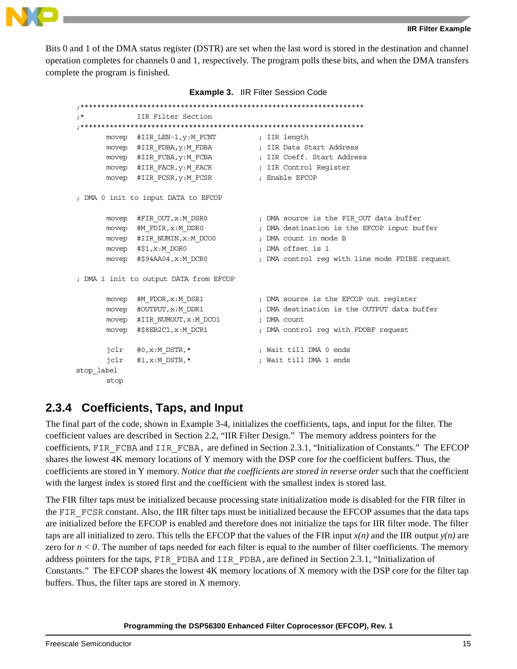



Bits 0 and 1 of the DMA status register (DSTR) are set when the last word is stored in the destination and channel operation completes for channels 0 and 1, respectively. The program polls these bits, and when the DMA transfers complete the program is finished.

| <b>Example 3. IIR Filter Session Code</b> |  |  |  |
|-------------------------------------------|--|--|--|
|-------------------------------------------|--|--|--|

```
;********************************************************************
;* IIR Filter Section
;********************************************************************
      movep #IIR LEN-1, y: M FCNT ; IIR length
     movep #IIR_FDBA, y:M_FDBA ; IIR Data Start Address
     movep #IIR_FCBA, y:M_FCBA ; IIR Coeff. Start Address
     movep #IIR_FACR, y:M_FACR ; IIR Control Register
     movep #IIR_FCSR, y:M_FCSR ; Enable EFCOP
; DMA 0 init to input DATA to EFCOP
     movep #FIR_OUT, x: M_DSR0 ; DMA source is the FIR_OUT data buffer
     movep #M_FDIR,x:M_DDR0 ; DMA destination is the EFCOP input buffer
     movep #IIR_NUMIN,x:M_DCO0 ; DMA count in mode B
     movep #$1,x:M DOR0 ; DMA offset is 1
     movep #$94AA04,x:M_DCR0 ; DMA control req with line mode FDIBE request
; DMA 1 init to output DATA from EFCOP
     movep #M_FDOR, x:M_DSR1 ; DMA source is the EFCOP out reqister
     movep #OUTPUT, x:M_DDR1 ; DMA destination is the OUTPUT data buffer
     movep #IIR_NUMOUT, x:M_DCO1 ; DMA count
     movep #$8EB2C1, x: M DCR1 ; DMA control reg with FDOBF request
      jclr #0,x:M_DSTR,* ; Wait till DMA 0 ends
      jclr #1,x:M_DSTR,* ; Wait till DMA 1 ends
stop_label
      stop
```
### <span id="page-14-0"></span>**2.3.4 Coefficients, Taps, and Input**

The final part of the code, shown in Example 3-4, initializes the coefficients, taps, and input for the filter. The coefficient values are described in Section [2.2, "IIR Filter Design."](#page-7-2) The memory address pointers for the coefficients, FIR\_FCBA and IIR\_FCBA, are defined in Section [2.3.1, "Initialization of Constants."](#page-8-2) The EFCOP shares the lowest 4K memory locations of Y memory with the DSP core for the coefficient buffers. Thus, the coefficients are stored in Y memory. *Notice that the coefficients are stored in reverse order* such that the coefficient with the largest index is stored first and the coefficient with the smallest index is stored last.

The FIR filter taps must be initialized because processing state initialization mode is disabled for the FIR filter in the FIR FCSR constant. Also, the IIR filter taps must be initialized because the EFCOP assumes that the data taps are initialized before the EFCOP is enabled and therefore does not initialize the taps for IIR filter mode. The filter taps are all initialized to zero. This tells the EFCOP that the values of the FIR input  $x(n)$  and the IIR output  $y(n)$  are zero for  $n < 0$ . The number of taps needed for each filter is equal to the number of filter coefficients. The memory address pointers for the taps, FIR\_FDBA and IIR\_FDBA,are defined in Section [2.3.1, "Initialization of](#page-8-2)  [Constants."](#page-8-2) The EFCOP shares the lowest 4K memory locations of X memory with the DSP core for the filter tap buffers. Thus, the filter taps are stored in X memory.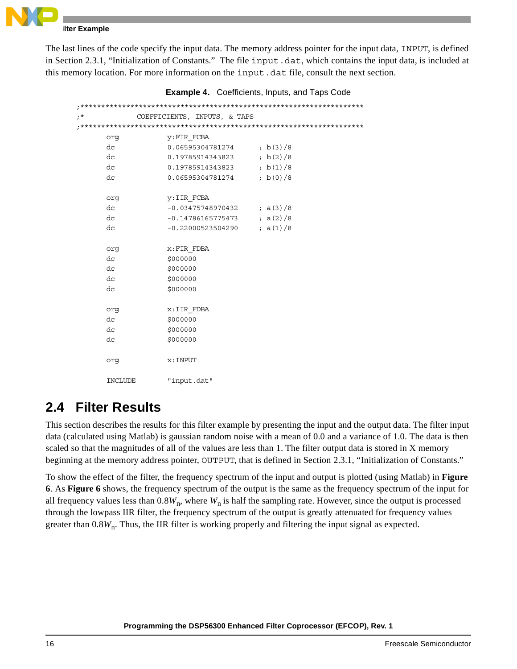

### **Ilter Example**

The last lines of the code specify the input data. The memory address pointer for the input data, INPUT, is defined in Section [2.3.1, "Initialization of Constants."](#page-8-2) The file input.dat, which contains the input data, is included at this memory location. For more information on the input.dat file, consult the next section.

| $; *$ |         | COEFFICIENTS, INPUTS, & TAPS |            |
|-------|---------|------------------------------|------------|
|       |         |                              |            |
|       | org     | y: FIR FCBA                  |            |
|       | dc      | $0.06595304781274$ ; b(3)/8  |            |
|       | dc      | 0.19785914343823             | ; b(2)/8   |
|       | dc      | 0.19785914343823             | ; $b(1)/8$ |
|       | dc      | $0.06595304781274$ ; b(0)/8  |            |
|       |         |                              |            |
|       | org     | y: IIR FCBA                  |            |
|       | dc      | $-0.03475748970432$ ; a(3)/8 |            |
|       | dc      | $-0.14786165775473$ ; a(2)/8 |            |
|       | dc      | $-0.22000523504290$          | ; $a(1)/8$ |
|       |         |                              |            |
|       | org     | x:FIR FDBA                   |            |
|       | dc      | \$000000                     |            |
|       | dc      | \$000000                     |            |
|       | dc      | \$000000                     |            |
|       | dc      | \$000000                     |            |
|       |         |                              |            |
|       | org     | x: IIR FDBA                  |            |
|       | dc      | \$000000                     |            |
|       | dc      | \$000000                     |            |
|       | dc      | \$000000                     |            |
|       |         |                              |            |
|       | orq     | $x$ : INPUT                  |            |
|       |         |                              |            |
|       | INCLUDE | "input.dat"                  |            |

**Example 4.** Coefficients, Inputs, and Taps Code

# **2.4 Filter Results**

This section describes the results for this filter example by presenting the input and the output data. The filter input data (calculated using Matlab) is gaussian random noise with a mean of 0.0 and a variance of 1.0. The data is then scaled so that the magnitudes of all of the values are less than 1. The filter output data is stored in X memory beginning at the memory address pointer, OUTPUT, that is defined in Section [2.3.1, "Initialization of Constants."](#page-8-2) 

To show the effect of the filter, the frequency spectrum of the input and output is plotted (using Matlab) in **[Figure](#page-16-0)  [6](#page-16-0)**. As **[Figure 6](#page-16-0)** shows, the frequency spectrum of the output is the same as the frequency spectrum of the input for all frequency values less than  $0.8W_n$ , where  $W_n$  is half the sampling rate. However, since the output is processed through the lowpass IIR filter, the frequency spectrum of the output is greatly attenuated for frequency values greater than  $0.8W<sub>n</sub>$ . Thus, the IIR filter is working properly and filtering the input signal as expected.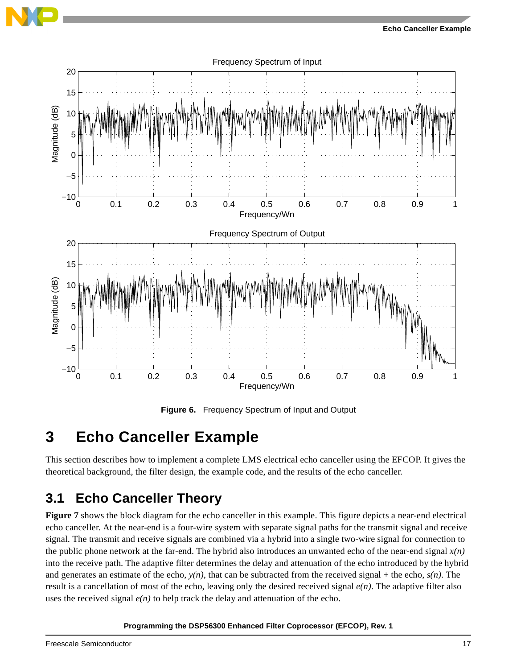



**Figure 6.** Frequency Spectrum of Input and Output

# <span id="page-16-0"></span>**3 Echo Canceller Example**

This section describes how to implement a complete LMS electrical echo canceller using the EFCOP. It gives the theoretical background, the filter design, the example code, and the results of the echo canceller.

# **3.1 Echo Canceller Theory**

**[Figure 7](#page-17-0)** shows the block diagram for the echo canceller in this example. This figure depicts a near-end electrical echo canceller. At the near-end is a four-wire system with separate signal paths for the transmit signal and receive signal. The transmit and receive signals are combined via a hybrid into a single two-wire signal for connection to the public phone network at the far-end. The hybrid also introduces an unwanted echo of the near-end signal *x(n)* into the receive path. The adaptive filter determines the delay and attenuation of the echo introduced by the hybrid and generates an estimate of the echo,  $y(n)$ , that can be subtracted from the received signal + the echo,  $s(n)$ . The result is a cancellation of most of the echo, leaving only the desired received signal *e(n)*. The adaptive filter also uses the received signal  $e(n)$  to help track the delay and attenuation of the echo.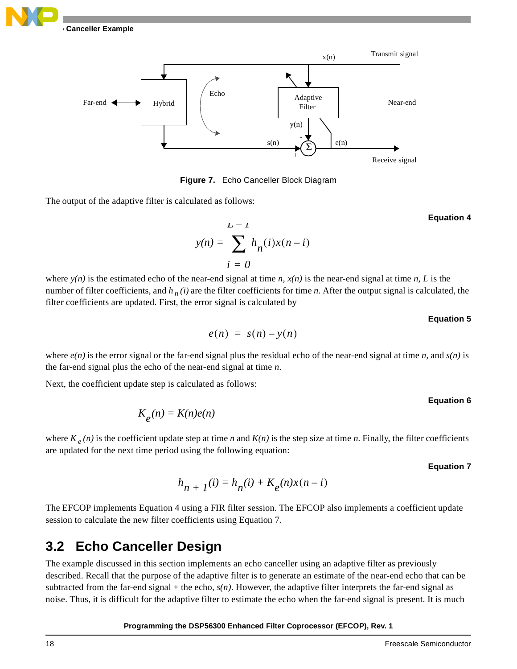



**Figure 7.** Echo Canceller Block Diagram

<span id="page-17-0"></span>The output of the adaptive filter is calculated as follows:

$$
y(n) = \sum_{i=0}^{L-1} h_n(i)x(n-i)
$$

where  $y(n)$  is the estimated echo of the near-end signal at time *n*,  $x(n)$  is the near-end signal at time *n*, *L* is the number of filter coefficients, and  $h_n(i)$  are the filter coefficients for time *n*. After the output signal is calculated, the filter coefficients are updated. First, the error signal is calculated by

### **Equation 5**

 **Equation 4**

$$
e(n) = s(n) - y(n)
$$

where  $e(n)$  is the error signal or the far-end signal plus the residual echo of the near-end signal at time *n*, and  $s(n)$  is the far-end signal plus the echo of the near-end signal at time *n*.

Next, the coefficient update step is calculated as follows:

### **Equation 6**

 $K_e(n) = K(n)e(n)$ 

where  $K_e(n)$  is the coefficient update step at time *n* and  $K(n)$  is the step size at time *n*. Finally, the filter coefficients are updated for the next time period using the following equation:

### **Equation 7**

$$
h_{n+1}(i) = h_n(i) + K_e(n)x(n-i)
$$

The EFCOP implements Equation 4 using a FIR filter session. The EFCOP also implements a coefficient update session to calculate the new filter coefficients using Equation 7.

# <span id="page-17-1"></span>**3.2 Echo Canceller Design**

The example discussed in this section implements an echo canceller using an adaptive filter as previously described. Recall that the purpose of the adaptive filter is to generate an estimate of the near-end echo that can be subtracted from the far-end signal + the echo,  $s(n)$ . However, the adaptive filter interprets the far-end signal as noise. Thus, it is difficult for the adaptive filter to estimate the echo when the far-end signal is present. It is much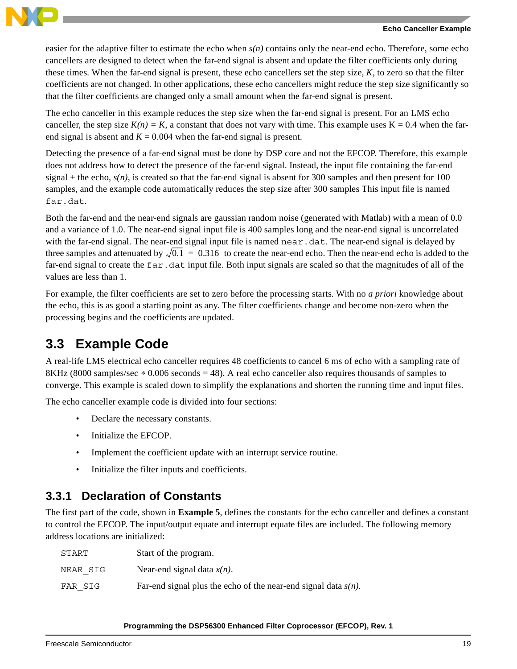

#### **Echo Canceller Example**

easier for the adaptive filter to estimate the echo when *s(n)* contains only the near-end echo. Therefore, some echo cancellers are designed to detect when the far-end signal is absent and update the filter coefficients only during these times. When the far-end signal is present, these echo cancellers set the step size, *K*, to zero so that the filter coefficients are not changed. In other applications, these echo cancellers might reduce the step size significantly so that the filter coefficients are changed only a small amount when the far-end signal is present.

The echo canceller in this example reduces the step size when the far-end signal is present. For an LMS echo canceller, the step size  $K(n) = K$ , a constant that does not vary with time. This example uses  $K = 0.4$  when the farend signal is absent and  $K = 0.004$  when the far-end signal is present.

Detecting the presence of a far-end signal must be done by DSP core and not the EFCOP. Therefore, this example does not address how to detect the presence of the far-end signal. Instead, the input file containing the far-end signal + the echo,  $s(n)$ , is created so that the far-end signal is absent for 300 samples and then present for 100 samples, and the example code automatically reduces the step size after 300 samples This input file is named far.dat.

Both the far-end and the near-end signals are gaussian random noise (generated with Matlab) with a mean of 0.0 and a variance of 1.0. The near-end signal input file is 400 samples long and the near-end signal is uncorrelated with the far-end signal. The near-end signal input file is named near. dat. The near-end signal is delayed by three samples and attenuated by  $\sqrt{0.1}$  = 0.316 to create the near-end echo. Then the near-end echo is added to the far-end signal to create the far.dat input file. Both input signals are scaled so that the magnitudes of all of the values are less than 1.

For example, the filter coefficients are set to zero before the processing starts. With no *a priori* knowledge about the echo, this is as good a starting point as any. The filter coefficients change and become non-zero when the processing begins and the coefficients are updated.

# **3.3 Example Code**

A real-life LMS electrical echo canceller requires 48 coefficients to cancel 6 ms of echo with a sampling rate of 8KHz (8000 samples/sec ∗ 0.006 seconds = 48). A real echo canceller also requires thousands of samples to converge. This example is scaled down to simplify the explanations and shorten the running time and input files.

The echo canceller example code is divided into four sections:

- Declare the necessary constants.
- Initialize the EFCOP.
- Implement the coefficient update with an interrupt service routine.
- Initialize the filter inputs and coefficients.

### <span id="page-18-0"></span>**3.3.1 Declaration of Constants**

The first part of the code, shown in **[Example 5](#page-19-0)**, defines the constants for the echo canceller and defines a constant to control the EFCOP. The input/output equate and interrupt equate files are included. The following memory address locations are initialized:

| START    | Start of the program.                                             |
|----------|-------------------------------------------------------------------|
| NEAR SIG | Near-end signal data $x(n)$ .                                     |
| FAR SIG  | Far-end signal plus the echo of the near-end signal data $s(n)$ . |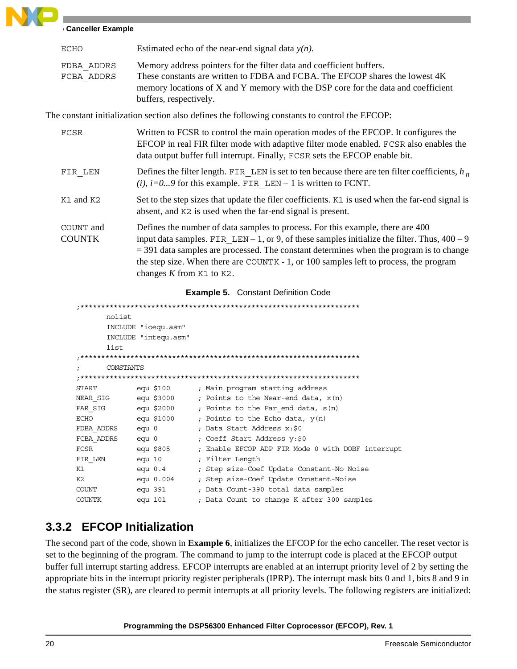### **Canceller Example**

| ECHO                     | Estimated echo of the near-end signal data $y(n)$ .                                                                                                                                                                                                                 |
|--------------------------|---------------------------------------------------------------------------------------------------------------------------------------------------------------------------------------------------------------------------------------------------------------------|
| FDBA ADDRS<br>FCBA ADDRS | Memory address pointers for the filter data and coefficient buffers.<br>These constants are written to FDBA and FCBA. The EFCOP shares the lowest 4K<br>memory locations of X and Y memory with the DSP core for the data and coefficient<br>buffers, respectively. |

The constant initialization section also defines the following constants to control the EFCOP:

| FCSR                       | Written to FCSR to control the main operation modes of the EFCOP. It configures the<br>EFCOP in real FIR filter mode with adaptive filter mode enabled. FCSR also enables the<br>data output buffer full interrupt. Finally, FCSR sets the EFCOP enable bit.                                                                                                                                              |  |  |  |
|----------------------------|-----------------------------------------------------------------------------------------------------------------------------------------------------------------------------------------------------------------------------------------------------------------------------------------------------------------------------------------------------------------------------------------------------------|--|--|--|
| FIR LEN                    | Defines the filter length. FIR LEN is set to ten because there are ten filter coefficients, $h_n$<br>(i), $i=09$ for this example. FIR LEN – 1 is written to FCNT.                                                                                                                                                                                                                                        |  |  |  |
| K1 and K2                  | Set to the step sizes that update the filer coefficients. K1 is used when the far-end signal is<br>absent, and K2 is used when the far-end signal is present.                                                                                                                                                                                                                                             |  |  |  |
| COUNT and<br><b>COUNTK</b> | Defines the number of data samples to process. For this example, there are 400<br>input data samples. FIR LEN – 1, or 9, of these samples initialize the filter. Thus, $400 - 9$<br>$=$ 391 data samples are processed. The constant determines when the program is to change<br>the step size. When there are COUNTK - 1, or 100 samples left to process, the program<br>changes $K$ from $K1$ to $K2$ . |  |  |  |

### **Example 5.** Constant Definition Code

<span id="page-19-0"></span>

|               | nolist    |         |                      |                                                   |
|---------------|-----------|---------|----------------------|---------------------------------------------------|
|               |           |         | INCLUDE "ioequ.asm"  |                                                   |
|               |           |         | INCLUDE "intequ.asm" |                                                   |
|               | list      |         |                      |                                                   |
|               |           |         |                      |                                                   |
|               | CONSTANTS |         |                      |                                                   |
|               |           |         |                      |                                                   |
| <b>START</b>  |           |         | equ \$100            | ; Main program starting address                   |
| NEAR SIG      |           |         | equ \$3000           | ; Points to the Near-end data, $x(n)$             |
|               |           |         | FAR SIG equ \$2000   | ; Points to the Far end data, $s(n)$              |
| <b>ECHO</b>   |           |         | equ \$1000           | ; Points to the Echo data, $y(n)$                 |
| FDBA ADDRS    |           | equ 0   |                      | ; Data Start Address x:\$0                        |
| FCBA ADDRS    |           | $equ$ 0 |                      | ; Coeff Start Address y:\$0                       |
| FCSR          |           |         | equ \$805            | ; Enable EFCOP ADP FIR Mode 0 with DOBF interrupt |
| FIR LEN       |           |         | equ 10               | ; Filter Length                                   |
| K1            |           |         | $equ$ 0.4            | ; Step size-Coef Update Constant-No Noise         |
| K2            |           |         | equ 0.004            | ; Step size-Coef Update Constant-Noise            |
| COUNT         |           |         | equ 391              | ; Data Count-390 total data samples               |
| <b>COUNTK</b> |           | equ 101 |                      | ; Data Count to change K after 300 samples        |

### **3.3.2 EFCOP Initialization**

The second part of the code, shown in **[Example 6](#page-20-0)**, initializes the EFCOP for the echo canceller. The reset vector is set to the beginning of the program. The command to jump to the interrupt code is placed at the EFCOP output buffer full interrupt starting address. EFCOP interrupts are enabled at an interrupt priority level of 2 by setting the appropriate bits in the interrupt priority register peripherals (IPRP). The interrupt mask bits 0 and 1, bits 8 and 9 in the status register (SR), are cleared to permit interrupts at all priority levels. The following registers are initialized: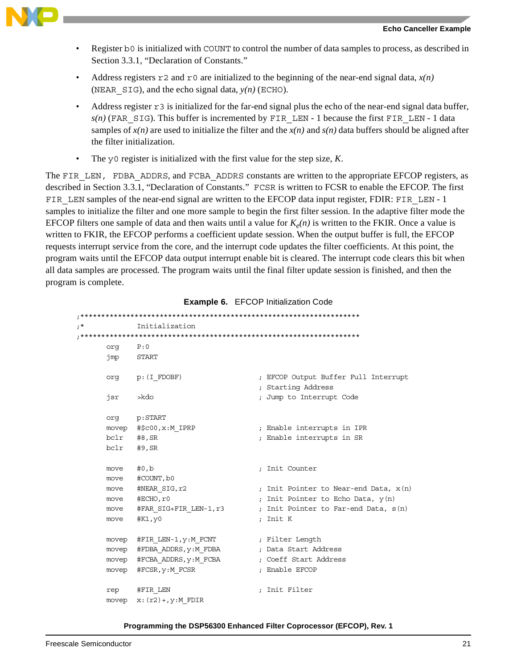

- Register b0 is initialized with COUNT to control the number of data samples to process, as described in Section [3.3.1, "Declaration of Constants."](#page-18-0)
- Address registers  $r^2$  and  $r^0$  are initialized to the beginning of the near-end signal data,  $x(n)$ (NEAR  $SIG$ ), and the echo signal data,  $y(n)$  (ECHO).
- Address register  $r3$  is initialized for the far-end signal plus the echo of the near-end signal data buffer,  $s(n)$  (FAR SIG). This buffer is incremented by FIR LEN - 1 because the first FIR LEN - 1 data samples of  $x(n)$  are used to initialize the filter and the  $x(n)$  and  $s(n)$  data buffers should be aligned after the filter initialization.
- The y0 register is initialized with the first value for the step size, *K*.

The FIR LEN, FDBA ADDRS, and FCBA ADDRS constants are written to the appropriate EFCOP registers, as described in Section [3.3.1, "Declaration of Constants."](#page-18-0) FCSR is written to FCSR to enable the EFCOP. The first FIR LEN samples of the near-end signal are written to the EFCOP data input register, FDIR: FIR LEN - 1 samples to initialize the filter and one more sample to begin the first filter session. In the adaptive filter mode the EFCOP filters one sample of data and then waits until a value for  $K_e(n)$  is written to the FKIR. Once a value is written to FKIR, the EFCOP performs a coefficient update session. When the output buffer is full, the EFCOP requests interrupt service from the core, and the interrupt code updates the filter coefficients. At this point, the program waits until the EFCOP data output interrupt enable bit is cleared. The interrupt code clears this bit when all data samples are processed. The program waits until the final filter update session is finished, and then the program is complete.

<span id="page-20-0"></span>

| $;*$ |       | Initialization                                   |                                                            |
|------|-------|--------------------------------------------------|------------------------------------------------------------|
|      |       |                                                  |                                                            |
|      | orq   | P:0                                              |                                                            |
|      |       | jmp START                                        |                                                            |
|      |       | $org$ $p: (I FDOBF)$                             | ; EFCOP Output Buffer Full Interrupt<br>; Starting Address |
|      | jsr   | >kdo                                             | ; Jump to Interrupt Code                                   |
|      |       | org p:START                                      |                                                            |
|      |       | movep #\$c00, x: M IPRP                          | ; Enable interrupts in IPR                                 |
|      |       | $bc1r$ #8, SR                                    | ; Enable interrupts in SR                                  |
|      |       | bclr #9, SR                                      |                                                            |
|      | move  | #0,b                                             | ; Init Counter                                             |
|      |       | move #COUNT, b0                                  |                                                            |
|      |       | move #NEAR SIG, r2                               | ; Init Pointer to Near-end Data, $x(n)$                    |
|      |       | move #ECHO, r0                                   | ; Init Pointer to Echo Data, $y(n)$                        |
|      |       | move #FAR SIG+FIR LEN-1,r3                       | ; Init Pointer to Far-end Data, s(n)                       |
|      | move  | #K1,y0                                           | ; Init K                                                   |
|      |       | movep #FIR LEN-1, y:M FCNT (Filter Length        |                                                            |
|      |       | movep #FDBA ADDRS, y:M FDBA ; Data Start Address |                                                            |
|      |       |                                                  | movep #FCBA ADDRS, y: M FCBA ; Coeff Start Address         |
|      |       | movep #FCSR, y:M FCSR                            | ; Enable EFCOP                                             |
|      |       | rep #FIR LEN                                     | ; Init Filter                                              |
|      | movep | $x: (r2) +$ , $y: M$ FDIR                        |                                                            |

**Example 6.** EFCOP Initialization Code

;\*\*\*\*\*\*\*\*\*\*\*\*\*\*\*\*\*\*\*\*\*\*\*\*\*\*\*\*\*\*\*\*\*\*\*\*\*\*\*\*\*\*\*\*\*\*\*\*\*\*\*\*\*\*\*\*\*\*\*\*\*\*\*\*\*\*\*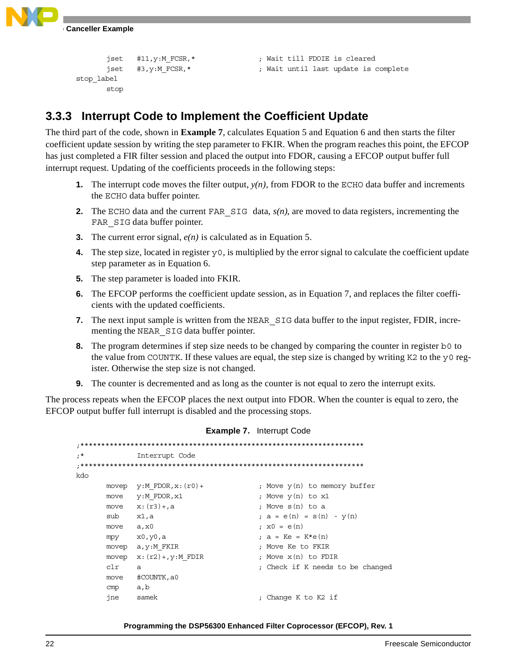

```
stop_label
        stop
```
jset #11,y:M\_FCSR,\* ; Wait till FDOIE is cleared jset #3,y:M\_FCSR,\* ; Wait until last update is complete

### **3.3.3 Interrupt Code to Implement the Coefficient Update**

The third part of the code, shown in **[Example 7](#page-21-0)**, calculates Equation 5 and Equation 6 and then starts the filter coefficient update session by writing the step parameter to FKIR. When the program reaches this point, the EFCOP has just completed a FIR filter session and placed the output into FDOR, causing a EFCOP output buffer full interrupt request. Updating of the coefficients proceeds in the following steps:

- **1.** The interrupt code moves the filter output,  $y(n)$ , from FDOR to the ECHO data buffer and increments the ECHO data buffer pointer.
- **2.** The ECHO data and the current FAR  $SIG$  data,  $s(n)$ , are moved to data registers, incrementing the FAR SIG data buffer pointer.
- **3.** The current error signal, *e(n)* is calculated as in Equation 5.
- **4.** The step size, located in register y0, is multiplied by the error signal to calculate the coefficient update step parameter as in Equation 6.
- **5.** The step parameter is loaded into FKIR.
- **6.** The EFCOP performs the coefficient update session, as in Equation 7, and replaces the filter coefficients with the updated coefficients.
- **7.** The next input sample is written from the NEAR SIG data buffer to the input register, FDIR, incrementing the NEAR\_SIG data buffer pointer.
- **8.** The program determines if step size needs to be changed by comparing the counter in register b0 to the value from COUNTK. If these values are equal, the step size is changed by writing K2 to the  $y0$  register. Otherwise the step size is not changed.
- **9.** The counter is decremented and as long as the counter is not equal to zero the interrupt exits.

<span id="page-21-0"></span>The process repeats when the EFCOP places the next output into FDOR. When the counter is equal to zero, the EFCOP output buffer full interrupt is disabled and the processing stops.

### **Example 7.** Interrupt Code

;\*\*\*\*\*\*\*\*\*\*\*\*\*\*\*\*\*\*\*\*\*\*\*\*\*\*\*\*\*\*\*\*\*\*\*\*\*\*\*\*\*\*\*\*\*\*\*\*\*\*\*\*\*\*\*\*\*\*\*\*\*\*\*\*\*\*\*\* ;\* Interrupt Code ;\*\*\*\*\*\*\*\*\*\*\*\*\*\*\*\*\*\*\*\*\*\*\*\*\*\*\*\*\*\*\*\*\*\*\*\*\*\*\*\*\*\*\*\*\*\*\*\*\*\*\*\*\*\*\*\*\*\*\*\*\*\*\*\*\*\*\*\* kdo movep  $y:M_FDOR, x:(r0)+$  ; Move  $y(n)$  to memory buffer move  $y:M_FDOR,x1$  ; Move  $y(n)$  to  $x1$ move  $x: (r3) + a$  ; Move  $s(n)$  to a sub x1, a  $; a = e(n) = s(n) - y(n)$ move  $a, x0$  ;  $x0 = e(n)$ mpy  $x0, y0, a$  ;  $a = Ke = Ke(n)$ movep a, y:M\_FKIR ; Move Ke to FKIR movep  $x: (r2) +$ ,  $y: M$  FDIR ; Move  $x(n)$  to FDIR clr a ; Check if K needs to be changed move #COUNTK,a0 cmp a,b jne samek ; Change K to K2 if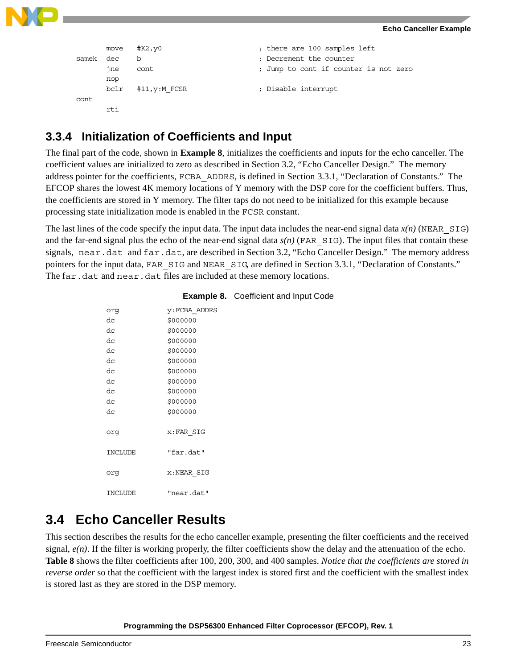



```
move #K2,y0 ; there are 100 samples left
samek dec b ; Decrement the counter
     jne cont \qquad \qquad ; Jump to cont if counter is not zero
    nop
    bclr #11,y:M_FCSR ; Disable interrupt
cont
     rti
```
### **3.3.4 Initialization of Coefficients and Input**

The final part of the code, shown in **[Example 8](#page-22-0)**, initializes the coefficients and inputs for the echo canceller. The coefficient values are initialized to zero as described in Section [3.2, "Echo Canceller Design."](#page-17-1) The memory address pointer for the coefficients, FCBA\_ADDRS, is defined in Section [3.3.1, "Declaration of Constants."](#page-18-0) The EFCOP shares the lowest 4K memory locations of Y memory with the DSP core for the coefficient buffers. Thus, the coefficients are stored in Y memory. The filter taps do not need to be initialized for this example because processing state initialization mode is enabled in the FCSR constant.

The last lines of the code specify the input data. The input data includes the near-end signal data  $x(n)$  (NEAR SIG) and the far-end signal plus the echo of the near-end signal data  $s(n)$  (FAR  $SIG$ ). The input files that contain these signals, near.dat and far.dat, are described in Section [3.2, "Echo Canceller Design."](#page-17-1) The memory address pointers for the input data, FAR\_SIG and NEAR\_SIG, are defined in Section 3.3.1, "Declaration of Constants." The far.dat and near.dat files are included at these memory locations.

<span id="page-22-0"></span>

| orq            | <b>y:FCBA ADDRS</b> |
|----------------|---------------------|
| dc             | \$000000            |
| dc             | \$000000            |
| dc             | \$000000            |
| dc             | \$000000            |
| dc             | \$000000            |
| dc             | \$000000            |
| dc             | \$000000            |
| dc             | \$000000            |
| dc             | \$000000            |
| dc             | \$000000            |
|                |                     |
| org            | x:FAR SIG           |
|                |                     |
| <b>INCLUDE</b> | "far.dat"           |
|                |                     |
| orq            | x:NEAR SIG          |
|                |                     |
| INCLUDE        | "near.dat"          |

### **Example 8.** Coefficient and Input Code

# **3.4 Echo Canceller Results**

This section describes the results for the echo canceller example, presenting the filter coefficients and the received signal, *e(n)*. If the filter is working properly, the filter coefficients show the delay and the attenuation of the echo. **[Table 8](#page-23-0)** shows the filter coefficients after 100, 200, 300, and 400 samples. *Notice that the coefficients are stored in reverse order* so that the coefficient with the largest index is stored first and the coefficient with the smallest index is stored last as they are stored in the DSP memory.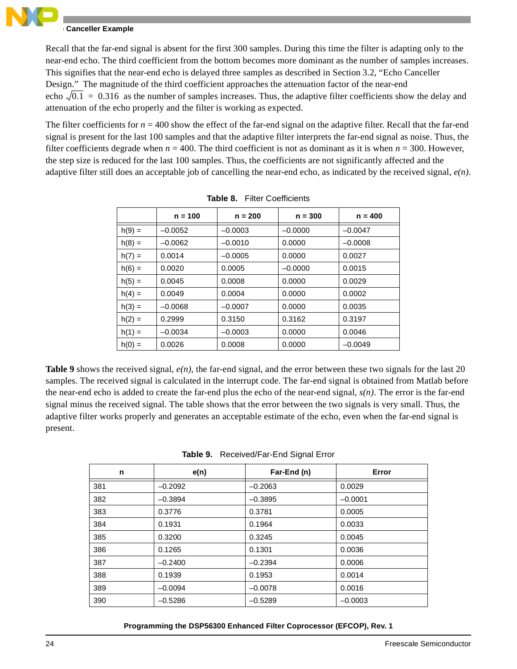### **Echo Canceller Example**

Recall that the far-end signal is absent for the first 300 samples. During this time the filter is adapting only to the near-end echo. The third coefficient from the bottom becomes more dominant as the number of samples increases. This signifies that the near-end echo is delayed three samples as described in Section [3.2, "Echo Canceller](#page-17-1)  [Design."](#page-17-1) The magnitude of the third coefficient approaches the attenuation factor of the near-end echo  $\sqrt{0.1}$  = 0.316 as the number of samples increases. Thus, the adaptive filter coefficients show the delay and attenuation of the echo properly and the filter is working as expected.

The filter coefficients for  $n = 400$  show the effect of the far-end signal on the adaptive filter. Recall that the far-end signal is present for the last 100 samples and that the adaptive filter interprets the far-end signal as noise. Thus, the filter coefficients degrade when  $n = 400$ . The third coefficient is not as dominant as it is when  $n = 300$ . However, the step size is reduced for the last 100 samples. Thus, the coefficients are not significantly affected and the adaptive filter still does an acceptable job of cancelling the near-end echo, as indicated by the received signal, *e(n)*.

<span id="page-23-0"></span>

|          | $n = 100$ | $n = 200$ | $n = 300$ | $n = 400$ |  |  |  |  |
|----------|-----------|-----------|-----------|-----------|--|--|--|--|
| $h(9) =$ | $-0.0052$ | $-0.0003$ | $-0.0000$ | $-0.0047$ |  |  |  |  |
| $h(8) =$ | $-0.0062$ | $-0.0010$ | 0.0000    | $-0.0008$ |  |  |  |  |
| $h(7) =$ | 0.0014    | $-0.0005$ | 0.0000    | 0.0027    |  |  |  |  |
| $h(6) =$ | 0.0020    | 0.0005    | $-0.0000$ | 0.0015    |  |  |  |  |
| $h(5) =$ | 0.0045    | 0.0008    | 0.0000    | 0.0029    |  |  |  |  |
| $h(4) =$ | 0.0049    | 0.0004    | 0.0000    | 0.0002    |  |  |  |  |
| $h(3) =$ | $-0.0068$ | $-0.0007$ | 0.0000    | 0.0035    |  |  |  |  |
| $h(2) =$ | 0.2999    | 0.3150    | 0.3162    | 0.3197    |  |  |  |  |
| $h(1) =$ | $-0.0034$ | $-0.0003$ | 0.0000    | 0.0046    |  |  |  |  |
| $h(0) =$ | 0.0026    | 0.0008    | 0.0000    | $-0.0049$ |  |  |  |  |

| <b>Table 8.</b> Filter Coefficients |
|-------------------------------------|
|                                     |

**[Table 9](#page-23-1)** shows the received signal, *e(n)*, the far-end signal, and the error between these two signals for the last 20 samples. The received signal is calculated in the interrupt code. The far-end signal is obtained from Matlab before the near-end echo is added to create the far-end plus the echo of the near-end signal, *s(n)*. The error is the far-end signal minus the received signal. The table shows that the error between the two signals is very small. Thus, the adaptive filter works properly and generates an acceptable estimate of the echo, even when the far-end signal is present.

<span id="page-23-1"></span>

| n   | e(n)      | Far-End (n) | Error     |
|-----|-----------|-------------|-----------|
| 381 | $-0.2092$ | $-0.2063$   | 0.0029    |
| 382 | $-0.3894$ | $-0.3895$   | $-0.0001$ |
| 383 | 0.3776    | 0.3781      | 0.0005    |
| 384 | 0.1931    | 0.1964      | 0.0033    |
| 385 | 0.3200    | 0.3245      | 0.0045    |
| 386 | 0.1265    | 0.1301      | 0.0036    |
| 387 | $-0.2400$ | $-0.2394$   | 0.0006    |
| 388 | 0.1939    | 0.1953      | 0.0014    |
| 389 | $-0.0094$ | $-0.0078$   | 0.0016    |
| 390 | $-0.5286$ | $-0.5289$   | $-0.0003$ |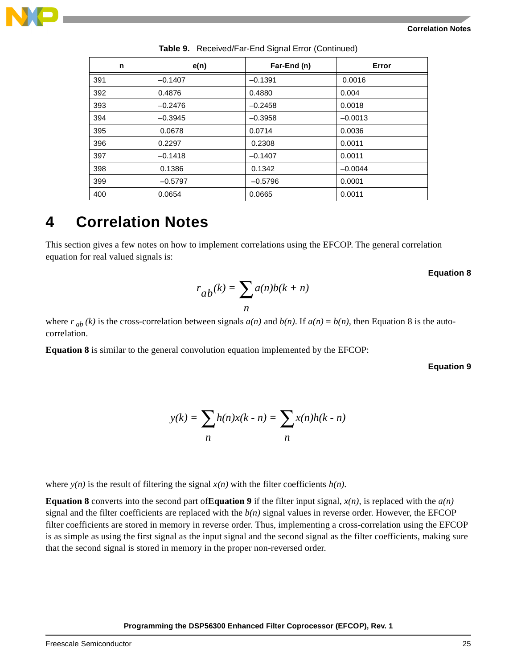

| n   | e(n)      | Far-End (n) | Error     |
|-----|-----------|-------------|-----------|
| 391 | $-0.1407$ | $-0.1391$   | 0.0016    |
| 392 | 0.4876    | 0.4880      | 0.004     |
| 393 | $-0.2476$ | $-0.2458$   | 0.0018    |
| 394 | $-0.3945$ | $-0.3958$   | $-0.0013$ |
| 395 | 0.0678    | 0.0714      | 0.0036    |
| 396 | 0.2297    | 0.2308      | 0.0011    |
| 397 | $-0.1418$ | $-0.1407$   | 0.0011    |
| 398 | 0.1386    | 0.1342      | $-0.0044$ |
| 399 | $-0.5797$ | $-0.5796$   | 0.0001    |
| 400 | 0.0654    | 0.0665      | 0.0011    |

**Table 9.** Received/Far-End Signal Error (Continued)

# **4 Correlation Notes**

<span id="page-24-0"></span>This section gives a few notes on how to implement correlations using the EFCOP. The general correlation equation for real valued signals is:

 **Equation 8**

$$
r_{ab}(k) = \sum_{n} a(n)b(k+n)
$$

where  $r_{ab}(k)$  is the cross-correlation between signals  $a(n)$  and  $b(n)$ . If  $a(n) = b(n)$ , then Equation 8 is the autocorrelation.

<span id="page-24-1"></span>**[Equation 8](#page-24-0)** is similar to the general convolution equation implemented by the EFCOP:

 **Equation 9**

$$
y(k) = \sum_{n} h(n)x(k - n) = \sum_{n} x(n)h(k - n)
$$

where  $y(n)$  is the result of filtering the signal  $x(n)$  with the filter coefficients  $h(n)$ .

**[Equation 8](#page-24-0)** converts into the second part of**[Equation 9](#page-24-1)** if the filter input signal, *x(n)*, is replaced with the *a(n)* signal and the filter coefficients are replaced with the  $b(n)$  signal values in reverse order. However, the EFCOP filter coefficients are stored in memory in reverse order. Thus, implementing a cross-correlation using the EFCOP is as simple as using the first signal as the input signal and the second signal as the filter coefficients, making sure that the second signal is stored in memory in the proper non-reversed order.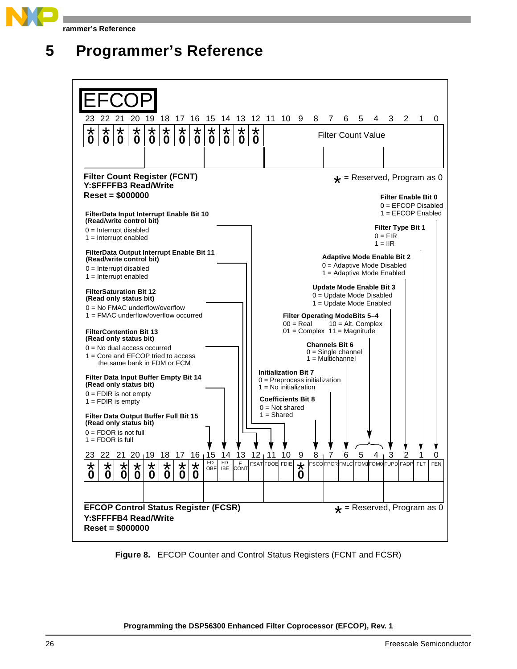

**Programmer's Reference**





**Figure 8.** EFCOP Counter and Control Status Registers (FCNT and FCSR)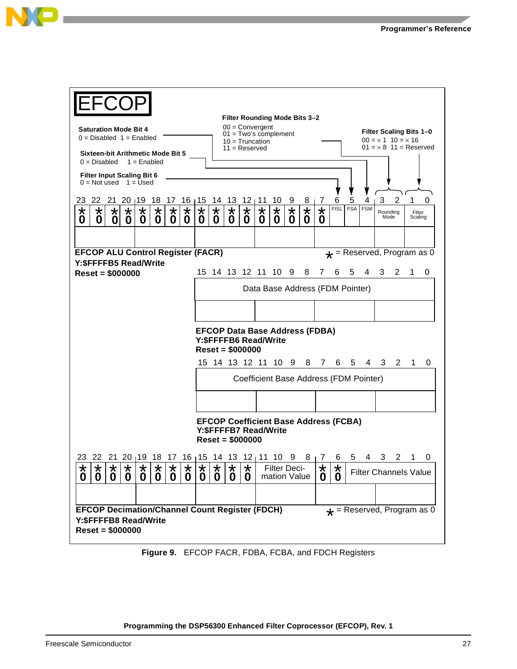| Filter Rounding Mode Bits 3-2                                        |                                                                                                                                          |                        |                             |                        |                        |                        |                        |                        |                                              |                     |                                             |                             |                              |              |              |                                 |              |            |                                        |                                                 |   |                   |                          |  |  |
|----------------------------------------------------------------------|------------------------------------------------------------------------------------------------------------------------------------------|------------------------|-----------------------------|------------------------|------------------------|------------------------|------------------------|------------------------|----------------------------------------------|---------------------|---------------------------------------------|-----------------------------|------------------------------|--------------|--------------|---------------------------------|--------------|------------|----------------------------------------|-------------------------------------------------|---|-------------------|--------------------------|--|--|
| $00 =$ Convergent<br><b>Saturation Mode Bit 4</b>                    |                                                                                                                                          |                        |                             |                        |                        |                        |                        |                        |                                              |                     |                                             |                             |                              |              |              |                                 |              |            |                                        |                                                 |   |                   |                          |  |  |
| $0 = Disabled$ 1 = Enabled                                           |                                                                                                                                          |                        |                             |                        |                        |                        |                        |                        | $01 = Two's complement$<br>$10 = Truncation$ |                     |                                             |                             |                              |              |              |                                 |              |            |                                        | Filter Scaling Bits 1-0<br>$00 = x 1 10 = x 16$ |   |                   | $01 = x 8$ 11 = Reserved |  |  |
| Sixteen-bit Arithmetic Mode Bit 5<br>$0 = Disabled$<br>$1 =$ Enabled |                                                                                                                                          |                        |                             |                        |                        |                        |                        |                        |                                              | $11 =$ Reserved     |                                             |                             |                              |              |              |                                 |              |            |                                        |                                                 |   |                   |                          |  |  |
| <b>Filter Input Scaling Bit 6</b><br>$0 = Not used$ 1 = Used         |                                                                                                                                          |                        |                             |                        |                        |                        |                        |                        |                                              |                     |                                             |                             |                              |              |              |                                 |              |            |                                        |                                                 |   |                   |                          |  |  |
| 23                                                                   | 22                                                                                                                                       |                        |                             | 21 20 19 18 17         |                        |                        | $16 \mid 15$           |                        | 14<br>13<br>$12 \mid 11$<br>10               |                     |                                             |                             |                              |              | 8            | -7                              | 6            | 5          | 3<br>$\overline{2}$<br>1<br>O<br>4     |                                                 |   |                   |                          |  |  |
| $\star$<br>0                                                         | $\star$<br>0                                                                                                                             | $\star$<br>$\mathbf 0$ | *<br>$\bf{0}$               | $\star$<br>$\mathbf 0$ | $\star$<br>$\bf{0}$    | $\star$<br>$\mathbf 0$ | $\star$<br>$\bf{0}$    | $\star$<br>0           | $\star$<br>$\mathbf 0$                       | $\star$<br>0        | $\star$<br>0                                | $\star$<br>$\boldsymbol{0}$ | $\star$<br>0                 | $\star$<br>0 | $\star$<br>0 | $\star$<br>0                    | <b>FISL</b>  | <b>FSA</b> | <b>FSM</b>                             | Rounding<br>Mode                                |   | Filter<br>Scaling |                          |  |  |
|                                                                      |                                                                                                                                          |                        |                             |                        |                        |                        |                        |                        |                                              |                     |                                             |                             |                              |              |              |                                 |              |            |                                        |                                                 |   |                   |                          |  |  |
|                                                                      | <b>EFCOP ALU Control Register (FACR)</b><br>$\star$ = Reserved, Program as 0                                                             |                        |                             |                        |                        |                        |                        |                        |                                              |                     |                                             |                             |                              |              |              |                                 |              |            |                                        |                                                 |   |                   |                          |  |  |
|                                                                      | Y: \$FFFFB5 Read/Write                                                                                                                   |                        |                             |                        |                        |                        |                        |                        |                                              |                     |                                             |                             |                              |              |              |                                 |              |            |                                        |                                                 |   |                   |                          |  |  |
|                                                                      | $Reset = $000000$                                                                                                                        |                        |                             |                        |                        |                        |                        |                        |                                              |                     | 15 14 13 12 11 10 9                         |                             |                              |              | 8            | 7                               | 6            | 5          | 4                                      | 3                                               | 2 | 1.                | 0                        |  |  |
|                                                                      |                                                                                                                                          |                        |                             |                        |                        |                        |                        |                        |                                              |                     |                                             |                             |                              |              |              | Data Base Address (FDM Pointer) |              |            |                                        |                                                 |   |                   |                          |  |  |
|                                                                      |                                                                                                                                          |                        |                             |                        |                        |                        |                        |                        |                                              |                     |                                             |                             |                              |              |              |                                 |              |            |                                        |                                                 |   |                   |                          |  |  |
|                                                                      |                                                                                                                                          |                        |                             |                        |                        |                        |                        |                        |                                              |                     | <b>EFCOP Data Base Address (FDBA)</b>       |                             |                              |              |              |                                 |              |            |                                        |                                                 |   |                   |                          |  |  |
|                                                                      |                                                                                                                                          |                        |                             |                        |                        |                        |                        |                        |                                              |                     | Y: \$FFFFB6 Read/Write<br>$Reset = $000000$ |                             |                              |              |              |                                 |              |            |                                        |                                                 |   |                   |                          |  |  |
|                                                                      |                                                                                                                                          |                        |                             |                        |                        |                        |                        |                        |                                              |                     |                                             |                             |                              |              |              | 8 7                             | 6            | 5          |                                        | 43                                              | 2 | 1                 | 0                        |  |  |
|                                                                      |                                                                                                                                          |                        |                             |                        |                        |                        |                        |                        |                                              |                     |                                             |                             |                              |              |              |                                 |              |            | Coefficient Base Address (FDM Pointer) |                                                 |   |                   |                          |  |  |
|                                                                      |                                                                                                                                          |                        |                             |                        |                        |                        |                        |                        |                                              |                     |                                             |                             |                              |              |              |                                 |              |            |                                        |                                                 |   |                   |                          |  |  |
|                                                                      | <b>EFCOP Coefficient Base Address (FCBA)</b><br>Y: \$FFFFB7 Read/Write<br>$Reset = $000000$                                              |                        |                             |                        |                        |                        |                        |                        |                                              |                     |                                             |                             |                              |              |              |                                 |              |            |                                        |                                                 |   |                   |                          |  |  |
|                                                                      | 23 22 21 20 19 18 17 16 15 14 13 12 11 10 9                                                                                              |                        |                             |                        |                        |                        |                        |                        |                                              |                     |                                             |                             |                              |              | 81           | $\sqrt{2}$                      | ნ            | 5          |                                        | 3                                               |   | 2 1               |                          |  |  |
| $\star$<br>0                                                         | $\star$<br>0                                                                                                                             | $\star$<br>$\mathbf 0$ | $\star$<br>$\boldsymbol{0}$ | $\star$<br>$\bf{0}$    | $\star$<br>$\mathbf 0$ | $\star$<br>$\mathbf 0$ | $\star$<br>$\mathbf 0$ | $\star$<br>$\mathbf 0$ | $\star$<br>0                                 | $\star$<br>$\bf{0}$ | $\star$<br>$\bf{0}$                         |                             | Filter Deci-<br>mation Value |              |              | $\star$<br>0                    | $\star$<br>0 |            |                                        | <b>Filter Channels Value</b>                    |   |                   |                          |  |  |
|                                                                      |                                                                                                                                          |                        |                             |                        |                        |                        |                        |                        |                                              |                     |                                             |                             |                              |              |              |                                 |              |            |                                        |                                                 |   |                   |                          |  |  |
|                                                                      | <b>EFCOP Decimation/Channel Count Register (FDCH)</b><br>$\star$ = Reserved, Program as 0<br>Y: \$FFFFB8 Read/Write<br>$Reset = $000000$ |                        |                             |                        |                        |                        |                        |                        |                                              |                     |                                             |                             |                              |              |              |                                 |              |            |                                        |                                                 |   |                   |                          |  |  |

**Figure 9.** EFCOP FACR, FDBA, FCBA, and FDCH Registers

**Programming the DSP56300 Enhanced Filter Coprocessor (EFCOP), Rev. 1**

R